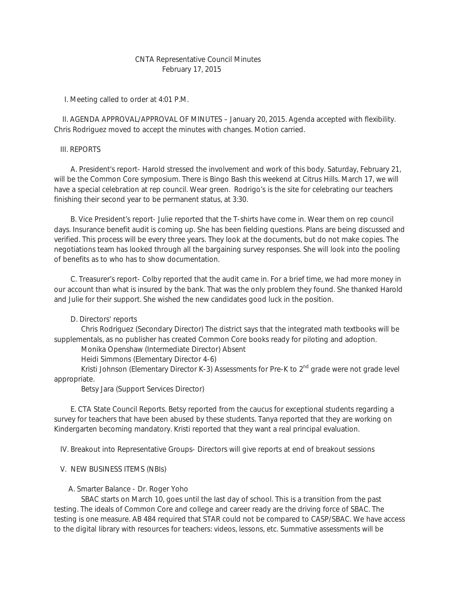# CNTA Representative Council Minutes February 17, 2015

I. Meeting called to order at 4:01 P.M.

 II. AGENDA APPROVAL/APPROVAL OF MINUTES – January 20, 2015. Agenda accepted with flexibility. Chris Rodriguez moved to accept the minutes with changes. Motion carried.

## III. REPORTS

 A. President's report- Harold stressed the involvement and work of this body. Saturday, February 21, will be the Common Core symposium. There is Bingo Bash this weekend at Citrus Hills. March 17, we will have a special celebration at rep council. Wear green. Rodrigo's is the site for celebrating our teachers finishing their second year to be permanent status, at 3:30.

 B. Vice President's report- Julie reported that the T-shirts have come in. Wear them on rep council days. Insurance benefit audit is coming up. She has been fielding questions. Plans are being discussed and verified. This process will be every three years. They look at the documents, but do not make copies. The negotiations team has looked through all the bargaining survey responses. She will look into the pooling of benefits as to who has to show documentation.

 C. Treasurer's report- Colby reported that the audit came in. For a brief time, we had more money in our account than what is insured by the bank. That was the only problem they found. She thanked Harold and Julie for their support. She wished the new candidates good luck in the position.

### D. Directors' reports

 Chris Rodriguez (Secondary Director) The district says that the integrated math textbooks will be supplementals, as no publisher has created Common Core books ready for piloting and adoption.

Monika Openshaw (Intermediate Director) Absent

Heidi Simmons (Elementary Director 4-6)

Kristi Johnson (Elementary Director K-3) Assessments for Pre-K to  $2^{nd}$  grade were not grade level appropriate.

Betsy Jara (Support Services Director)

 E. CTA State Council Reports. Betsy reported from the caucus for exceptional students regarding a survey for teachers that have been abused by these students. Tanya reported that they are working on Kindergarten becoming mandatory. Kristi reported that they want a real principal evaluation.

IV. Breakout into Representative Groups- Directors will give reports at end of breakout sessions

### V. NEW BUSINESS ITEMS (NBIs)

#### A. Smarter Balance - Dr. Roger Yoho

 SBAC starts on March 10, goes until the last day of school. This is a transition from the past testing. The ideals of Common Core and college and career ready are the driving force of SBAC. The testing is one measure. AB 484 required that STAR could not be compared to CASP/SBAC. We have access to the digital library with resources for teachers: videos, lessons, etc. Summative assessments will be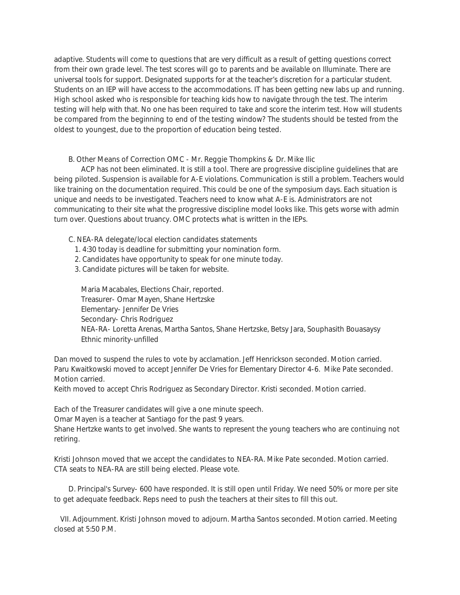adaptive. Students will come to questions that are very difficult as a result of getting questions correct from their own grade level. The test scores will go to parents and be available on Illuminate. There are universal tools for support. Designated supports for at the teacher's discretion for a particular student. Students on an IEP will have access to the accommodations. IT has been getting new labs up and running. High school asked who is responsible for teaching kids how to navigate through the test. The interim testing will help with that. No one has been required to take and score the interim test. How will students be compared from the beginning to end of the testing window? The students should be tested from the oldest to youngest, due to the proportion of education being tested.

B. Other Means of Correction OMC - Mr. Reggie Thompkins & Dr. Mike Ilic

 ACP has not been eliminated. It is still a tool. There are progressive discipline guidelines that are being piloted. Suspension is available for A-E violations. Communication is still a problem. Teachers would like training on the documentation required. This could be one of the symposium days. Each situation is unique and needs to be investigated. Teachers need to know what A-E is. Administrators are not communicating to their site what the progressive discipline model looks like. This gets worse with admin turn over. Questions about truancy. OMC protects what is written in the IEPs.

C. NEA-RA delegate/local election candidates statements

- 1. 4:30 today is deadline for submitting your nomination form.
- 2. Candidates have opportunity to speak for one minute today.
- 3. Candidate pictures will be taken for website.

 Maria Macabales, Elections Chair, reported. Treasurer- Omar Mayen, Shane Hertzske Elementary- Jennifer De Vries Secondary- Chris Rodriguez NEA-RA- Loretta Arenas, Martha Santos, Shane Hertzske, Betsy Jara, Souphasith Bouasaysy Ethnic minority-unfilled

Dan moved to suspend the rules to vote by acclamation. Jeff Henrickson seconded. Motion carried. Paru Kwaitkowski moved to accept Jennifer De Vries for Elementary Director 4-6. Mike Pate seconded. Motion carried.

Keith moved to accept Chris Rodriguez as Secondary Director. Kristi seconded. Motion carried.

Each of the Treasurer candidates will give a one minute speech.

Omar Mayen is a teacher at Santiago for the past 9 years.

Shane Hertzke wants to get involved. She wants to represent the young teachers who are continuing not retiring.

Kristi Johnson moved that we accept the candidates to NEA-RA. Mike Pate seconded. Motion carried. CTA seats to NEA-RA are still being elected. Please vote.

 D. Principal's Survey- 600 have responded. It is still open until Friday. We need 50% or more per site to get adequate feedback. Reps need to push the teachers at their sites to fill this out.

 VII. Adjournment. Kristi Johnson moved to adjourn. Martha Santos seconded. Motion carried. Meeting closed at 5:50 P.M.